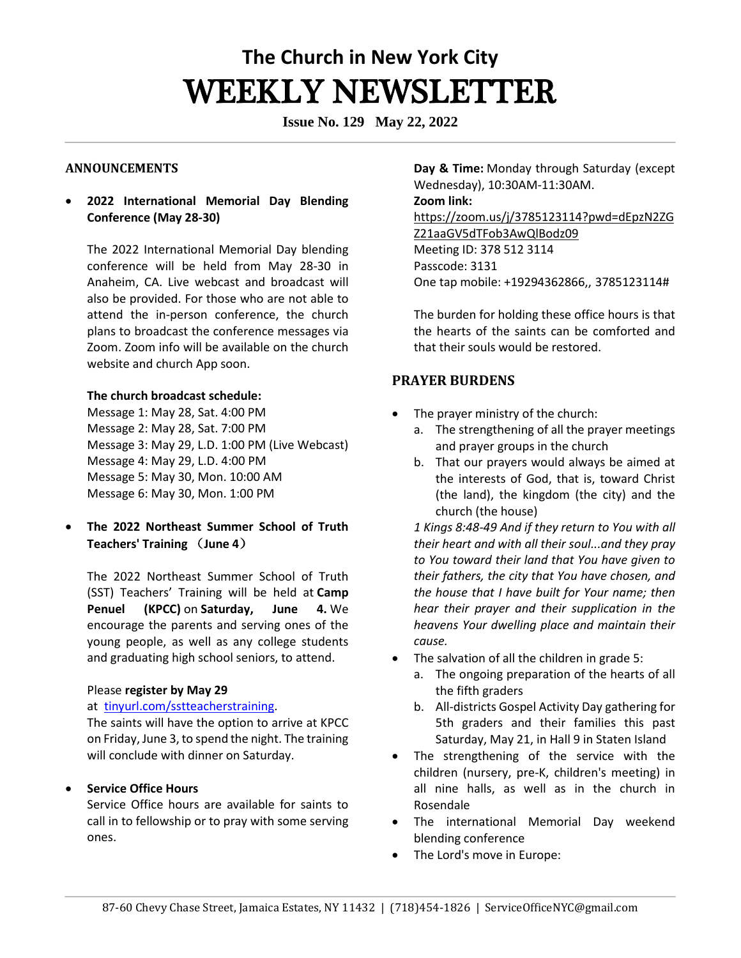# **The Church in New York City** WEEKLY NEWSLETTER

**Issue No. 129 May 22, 2022**

### **ANNOUNCEMENTS**

• **2022 International Memorial Day Blending Conference (May 28-30)**

The 2022 International Memorial Day blending conference will be held from May 28-30 in Anaheim, CA. Live webcast and broadcast will also be provided. For those who are not able to attend the in-person conference, the church plans to broadcast the conference messages via Zoom. Zoom info will be available on the church website and church App soon.

#### **The church broadcast schedule:**

Message 1: May 28, Sat. 4:00 PM Message 2: May 28, Sat. 7:00 PM Message 3: May 29, L.D. 1:00 PM (Live Webcast) Message 4: May 29, L.D. 4:00 PM Message 5: May 30, Mon. 10:00 AM Message 6: May 30, Mon. 1:00 PM

• **The 2022 Northeast Summer School of Truth Teachers' Training** (**June 4**)

The 2022 Northeast Summer School of Truth (SST) Teachers' Training will be held at **Camp Penuel (KPCC)** on **Saturday, June 4.** We encourage the parents and serving ones of the young people, as well as any college students and graduating high school seniors, to attend.

#### Please **register by May 29**

#### at [tinyurl.com/sstteacherstraining.](http://tinyurl.com/sstteacherstraining)

The saints will have the option to arrive at KPCC on Friday, June 3, to spend the night. The training will conclude with dinner on Saturday.

# • **Service Office Hours**

Service Office hours are available for saints to call in to fellowship or to pray with some serving ones. 

**Day & Time:** Monday through Saturday (except Wednesday), 10:30AM-11:30AM.   **Zoom link:** [https://zoom.us/j/3785123114?pwd=dEpzN2ZG](https://zoom.us/j/3785123114?pwd=dEpzN2ZGZ21aaGV5dTFob3AwQlBodz09) [Z21aaGV5dTFob3AwQlBodz09](https://zoom.us/j/3785123114?pwd=dEpzN2ZGZ21aaGV5dTFob3AwQlBodz09) Meeting ID: 378 512 3114 Passcode: 3131 One tap mobile: +19294362866,, 3785123114#

The burden for holding these office hours is that the hearts of the saints can be comforted and that their souls would be restored. 

# **PRAYER BURDENS**

- The prayer ministry of the church:
	- a. The strengthening of all the prayer meetings and prayer groups in the church
	- b. That our prayers would always be aimed at the interests of God, that is, toward Christ (the land), the kingdom (the city) and the church (the house)

*1 Kings 8:48-49 And if they return to You with all their heart and with all their soul...and they pray to You toward their land that You have given to their fathers, the city that You have chosen, and the house that I have built for Your name; then hear their prayer and their supplication in the heavens Your dwelling place and maintain their cause.*

- The salvation of all the children in grade 5:
	- a. The ongoing preparation of the hearts of all the fifth graders
	- b. All-districts Gospel Activity Day gathering for 5th graders and their families this past Saturday, May 21, in Hall 9 in Staten Island
- The strengthening of the service with the children (nursery, pre-K, children's meeting) in all nine halls, as well as in the church in Rosendale
- The international Memorial Day weekend blending conference
- The Lord's move in Europe: